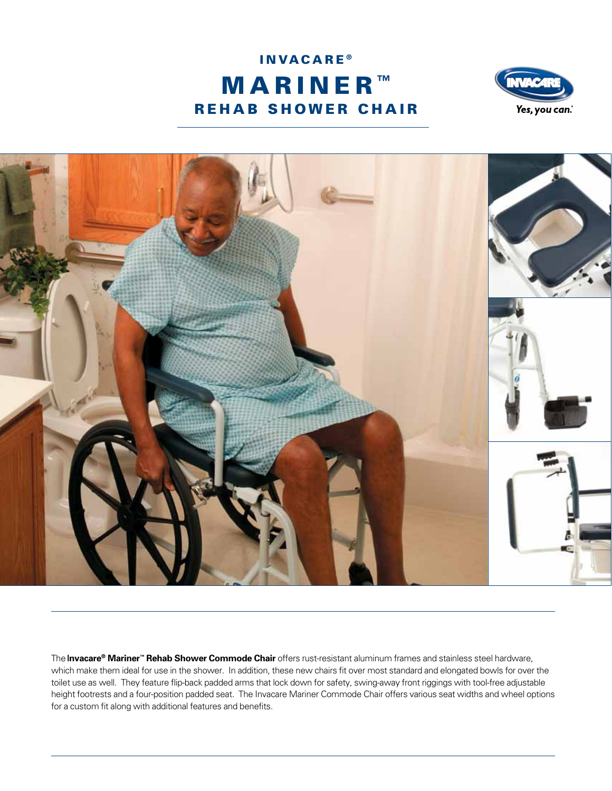





The **Invacare® Mariner™ Rehab Shower Commode Chair** offers rust-resistant aluminum frames and stainless steel hardware, which make them ideal for use in the shower. In addition, these new chairs fit over most standard and elongated bowls for over the toilet use as well. They feature flip-back padded arms that lock down for safety, swing-away front riggings with tool-free adjustable height footrests and a four-position padded seat. The Invacare Mariner Commode Chair offers various seat widths and wheel options for a custom fit along with additional features and benefits.